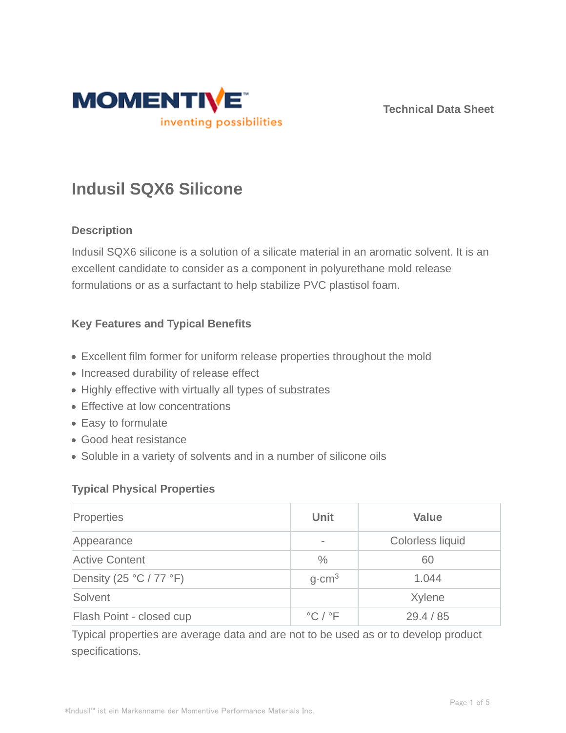

**Technical Data Sheet**

# **Indusil SQX6 Silicone**

# **Description**

Indusil SQX6 silicone is a solution of a silicate material in an aromatic solvent. It is an excellent candidate to consider as a component in polyurethane mold release formulations or as a surfactant to help stabilize PVC plastisol foam.

# **Key Features and Typical Benefits**

- Excellent film former for uniform release properties throughout the mold
- Increased durability of release effect
- Highly effective with virtually all types of substrates
- Effective at low concentrations
- Easy to formulate
- Good heat resistance
- Soluble in a variety of solvents and in a number of silicone oils

#### **Typical Physical Properties**

| Properties                   | <b>Unit</b>                                 | <b>Value</b>            |
|------------------------------|---------------------------------------------|-------------------------|
| Appearance                   |                                             | <b>Colorless liquid</b> |
| <b>Active Content</b>        | $\frac{0}{0}$                               | 60                      |
| Density (25 $°C$ / 77 $°F$ ) | $q$ cm <sup>3</sup>                         | 1.044                   |
| Solvent                      |                                             | Xylene                  |
| Flash Point - closed cup     | $\mathrm{^{\circ}C}$ / $\mathrm{^{\circ}F}$ | 29.4 / 85               |

Typical properties are average data and are not to be used as or to develop product specifications.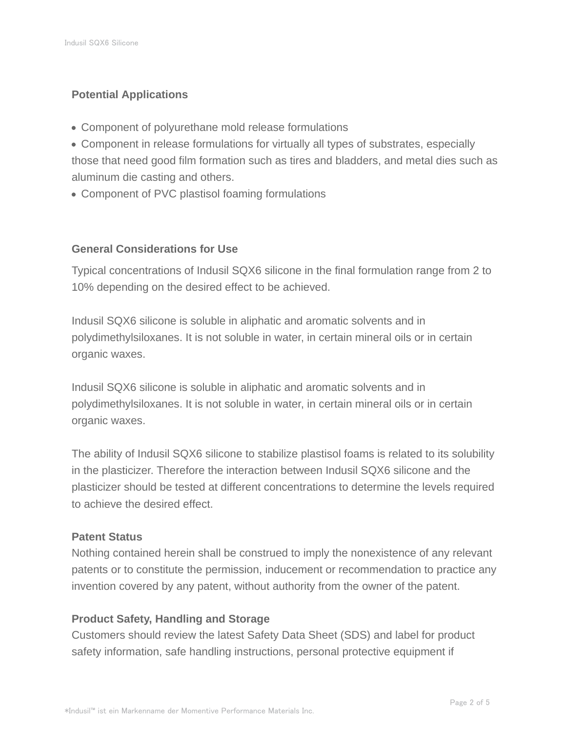# **Potential Applications**

- Component of polyurethane mold release formulations
- Component in release formulations for virtually all types of substrates, especially those that need good film formation such as tires and bladders, and metal dies such as aluminum die casting and others.
- Component of PVC plastisol foaming formulations

#### **General Considerations for Use**

Typical concentrations of Indusil SQX6 silicone in the final formulation range from 2 to 10% depending on the desired effect to be achieved.

Indusil SQX6 silicone is soluble in aliphatic and aromatic solvents and in polydimethylsiloxanes. It is not soluble in water, in certain mineral oils or in certain organic waxes.

Indusil SQX6 silicone is soluble in aliphatic and aromatic solvents and in polydimethylsiloxanes. It is not soluble in water, in certain mineral oils or in certain organic waxes.

The ability of Indusil SQX6 silicone to stabilize plastisol foams is related to its solubility in the plasticizer. Therefore the interaction between Indusil SQX6 silicone and the plasticizer should be tested at different concentrations to determine the levels required to achieve the desired effect.

#### **Patent Status**

Nothing contained herein shall be construed to imply the nonexistence of any relevant patents or to constitute the permission, inducement or recommendation to practice any invention covered by any patent, without authority from the owner of the patent.

#### **Product Safety, Handling and Storage**

Customers should review the latest Safety Data Sheet (SDS) and label for product safety information, safe handling instructions, personal protective equipment if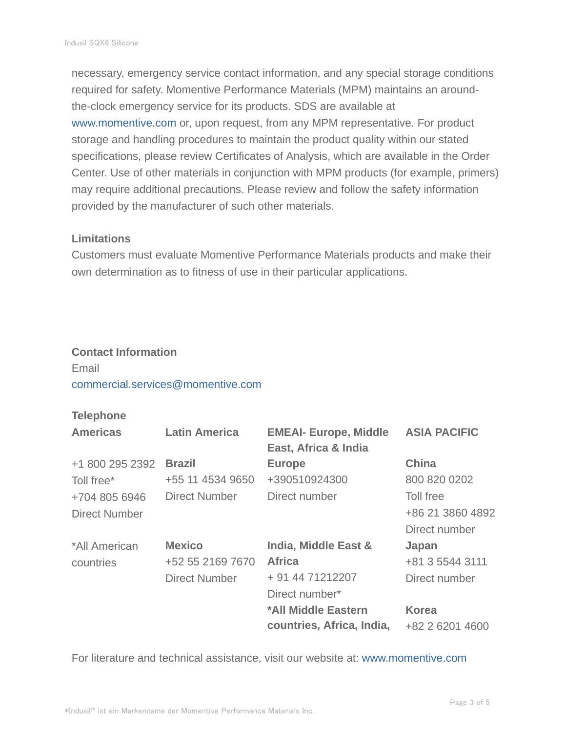necessary, emergency service contact information, and any special storage conditions required for safety. Momentive Performance Materials (MPM) maintains an aroundthe-clock emergency service for its products. SDS are available at www.momentive.com or, upon request, from any MPM representative. For product storage and handling procedures to maintain the product quality within our stated specifications, please review Certificates of Analysis, which are available in the Order Center. Use of other materials in conjunction with MPM products (for example, primers) may require additional precautions. Please review and follow the safety information provided by the manufacturer of such other materials.

#### **Limitations**

Customers must evaluate Momentive Performance Materials products and make their own determination as to fitness of use in their particular applications.

#### **Contact Information**

# Email commercial.services@momentive.com

#### **Telephone**

| <b>Americas</b>      | <b>Latin America</b> | <b>EMEAI- Europe, Middle</b><br>East, Africa & India | <b>ASIA PACIFIC</b> |
|----------------------|----------------------|------------------------------------------------------|---------------------|
| +1 800 295 2392      | <b>Brazil</b>        | <b>Europe</b>                                        | <b>China</b>        |
| Toll free*           | +55 11 4534 9650     | +390510924300                                        | 800 820 0202        |
| +704 805 6946        | Direct Number        | Direct number                                        | Toll free           |
| <b>Direct Number</b> |                      |                                                      | +86 21 3860 4892    |
|                      |                      |                                                      | Direct number       |
| *All American        | <b>Mexico</b>        | India, Middle East &                                 | Japan               |
| countries            | +52 55 2169 7670     | <b>Africa</b>                                        | +81 3 5544 3111     |
|                      | <b>Direct Number</b> | + 91 44 71212207                                     | Direct number       |
|                      |                      | Direct number*                                       |                     |
|                      |                      | *All Middle Eastern                                  | <b>Korea</b>        |
|                      |                      | countries, Africa, India,                            | +82 2 6201 4600     |

For literature and technical assistance, visit our website at: www.momentive.com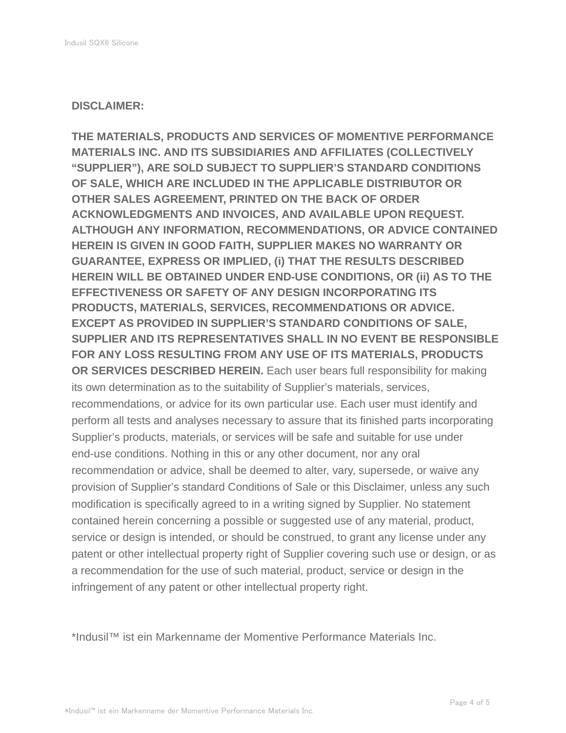#### **DISCLAIMER:**

**THE MATERIALS, PRODUCTS AND SERVICES OF MOMENTIVE PERFORMANCE MATERIALS INC. AND ITS SUBSIDIARIES AND AFFILIATES (COLLECTIVELY "SUPPLIER"), ARE SOLD SUBJECT TO SUPPLIER'S STANDARD CONDITIONS OF SALE, WHICH ARE INCLUDED IN THE APPLICABLE DISTRIBUTOR OR OTHER SALES AGREEMENT, PRINTED ON THE BACK OF ORDER ACKNOWLEDGMENTS AND INVOICES, AND AVAILABLE UPON REQUEST. ALTHOUGH ANY INFORMATION, RECOMMENDATIONS, OR ADVICE CONTAINED HEREIN IS GIVEN IN GOOD FAITH, SUPPLIER MAKES NO WARRANTY OR GUARANTEE, EXPRESS OR IMPLIED, (i) THAT THE RESULTS DESCRIBED HEREIN WILL BE OBTAINED UNDER END-USE CONDITIONS, OR (ii) AS TO THE EFFECTIVENESS OR SAFETY OF ANY DESIGN INCORPORATING ITS PRODUCTS, MATERIALS, SERVICES, RECOMMENDATIONS OR ADVICE. EXCEPT AS PROVIDED IN SUPPLIER'S STANDARD CONDITIONS OF SALE, SUPPLIER AND ITS REPRESENTATIVES SHALL IN NO EVENT BE RESPONSIBLE FOR ANY LOSS RESULTING FROM ANY USE OF ITS MATERIALS, PRODUCTS OR SERVICES DESCRIBED HEREIN.** Each user bears full responsibility for making its own determination as to the suitability of Supplier's materials, services, recommendations, or advice for its own particular use. Each user must identify and perform all tests and analyses necessary to assure that its finished parts incorporating Supplier's products, materials, or services will be safe and suitable for use under end-use conditions. Nothing in this or any other document, nor any oral recommendation or advice, shall be deemed to alter, vary, supersede, or waive any provision of Supplier's standard Conditions of Sale or this Disclaimer, unless any such modification is specifically agreed to in a writing signed by Supplier. No statement contained herein concerning a possible or suggested use of any material, product, service or design is intended, or should be construed, to grant any license under any patent or other intellectual property right of Supplier covering such use or design, or as a recommendation for the use of such material, product, service or design in the infringement of any patent or other intellectual property right.

\*Indusil™ ist ein Markenname der Momentive Performance Materials Inc.